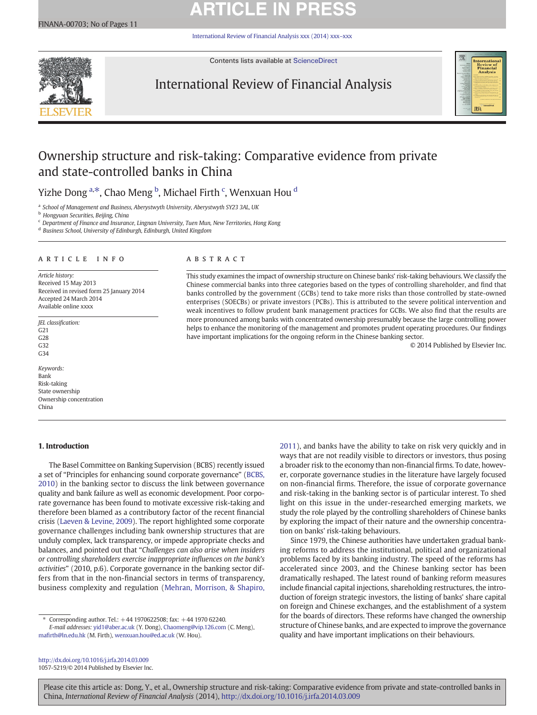# **ARTICLE IN PRESS**

[International Review of Financial Analysis xxx \(2014\) xxx](http://dx.doi.org/10.1016/j.irfa.2014.03.009)–xxx



Contents lists available at [ScienceDirect](http://www.sciencedirect.com/science/journal/10575219)

# International Review of Financial Analysis



© 2014 Published by Elsevier Inc.

# Ownership structure and risk-taking: Comparative evidence from private and state-controlled banks in China

Yizhe Dong <sup>a,\*</sup>, Chao Meng <sup>b</sup>, Michael Firth <sup>c</sup>, Wenxuan Hou <sup>d</sup>

a School of Management and Business, Aberystwyth University, Aberystwyth SY23 3AL, UK

**b** Hongyuan Securities, Beijing, China

<sup>c</sup> Department of Finance and Insurance, Lingnan University, Tuen Mun, New Territories, Hong Kong

<sup>d</sup> Business School, University of Edinburgh, Edinburgh, United Kingdom

## article info abstract

Article history: Received 15 May 2013 Received in revised form 25 January 2014 Accepted 24 March 2014 Available online xxxx

JEL classification: G21 G28 G32 G34

Keywords: Bank Risk-taking State ownership Ownership concentration China

# 1. Introduction

The Basel Committee on Banking Supervision (BCBS) recently issued a set of "Principles for enhancing sound corporate governance" ([BCBS,](#page-9-0) [2010\)](#page-9-0) in the banking sector to discuss the link between governance quality and bank failure as well as economic development. Poor corporate governance has been found to motivate excessive risk-taking and therefore been blamed as a contributory factor of the recent financial crisis ([Laeven & Levine, 2009\)](#page-10-0). The report highlighted some corporate governance challenges including bank ownership structures that are unduly complex, lack transparency, or impede appropriate checks and balances, and pointed out that "Challenges can also arise when insiders or controlling shareholders exercise inappropriate influences on the bank's activities" (2010, p.6). Corporate governance in the banking sector differs from that in the non-financial sectors in terms of transparency, business complexity and regulation ([Mehran, Morrison, & Shapiro,](#page-10-0)

⁎ Corresponding author. Tel.: +44 1970622508; fax: +44 1970 62240. E-mail addresses: [yid1@aber.ac.uk](mailto:yid1@aber.ac.uk) (Y. Dong), [Chaomeng@vip.126.com](mailto:Chaomeng@vip.126.com) (C. Meng),

mafi[rth@ln.edu.hk](mailto:mafirth@ln.edu.hk) (M. Firth), [wenxuan.hou@ed.ac.uk](mailto:wenxuan.hou@ed.ac.uk) (W. Hou).

a broader risk to the economy than non-financial firms. To date, however, corporate governance studies in the literature have largely focused on non-financial firms. Therefore, the issue of corporate governance and risk-taking in the banking sector is of particular interest. To shed light on this issue in the under-researched emerging markets, we study the role played by the controlling shareholders of Chinese banks by exploring the impact of their nature and the ownership concentration on banks' risk-taking behaviours. Since 1979, the Chinese authorities have undertaken gradual bank-

This study examines the impact of ownership structure on Chinese banks' risk-taking behaviours. We classify the Chinese commercial banks into three categories based on the types of controlling shareholder, and find that banks controlled by the government (GCBs) tend to take more risks than those controlled by state-owned enterprises (SOECBs) or private investors (PCBs). This is attributed to the severe political intervention and weak incentives to follow prudent bank management practices for GCBs. We also find that the results are more pronounced among banks with concentrated ownership presumably because the large controlling power helps to enhance the monitoring of the management and promotes prudent operating procedures. Our findings

have important implications for the ongoing reform in the Chinese banking sector.

ing reforms to address the institutional, political and organizational problems faced by its banking industry. The speed of the reforms has accelerated since 2003, and the Chinese banking sector has been dramatically reshaped. The latest round of banking reform measures include financial capital injections, shareholding restructures, the introduction of foreign strategic investors, the listing of banks' share capital on foreign and Chinese exchanges, and the establishment of a system for the boards of directors. These reforms have changed the ownership structure of Chinese banks, and are expected to improve the governance quality and have important implications on their behaviours.

[2011\)](#page-10-0), and banks have the ability to take on risk very quickly and in ways that are not readily visible to directors or investors, thus posing

<http://dx.doi.org/10.1016/j.irfa.2014.03.009> 1057-5219/© 2014 Published by Elsevier Inc.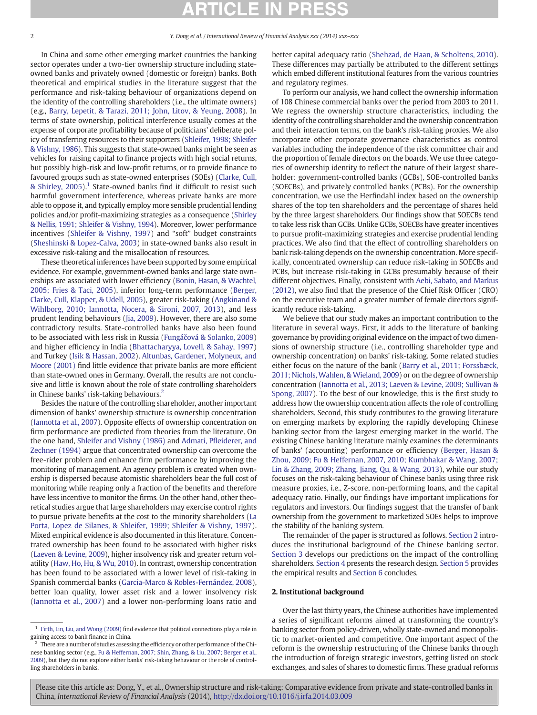In China and some other emerging market countries the banking sector operates under a two-tier ownership structure including stateowned banks and privately owned (domestic or foreign) banks. Both theoretical and empirical studies in the literature suggest that the performance and risk-taking behaviour of organizations depend on the identity of the controlling shareholders (i.e., the ultimate owners) (e.g., [Barry, Lepetit, & Tarazi, 2011; John, Litov, & Yeung, 2008](#page-9-0)). In terms of state ownership, political interference usually comes at the expense of corporate profitability because of politicians' deliberate policy of transferring resources to their supporters [\(Shleifer, 1998; Shleifer](#page-10-0) [& Vishny, 1986](#page-10-0)). This suggests that state-owned banks might be seen as vehicles for raising capital to finance projects with high social returns, but possibly high-risk and low-profit returns, or to provide finance to favoured groups such as state-owned enterprises (SOEs) ([Clarke, Cull,](#page-10-0) [& Shirley, 2005](#page-10-0)).<sup>1</sup> State-owned banks find it difficult to resist such harmful government interference, whereas private banks are more able to oppose it, and typically employ more sensible prudential lending policies and/or profit-maximizing strategies as a consequence [\(Shirley](#page-10-0) [& Nellis, 1991; Shleifer & Vishny, 1994\)](#page-10-0). Moreover, lower performance incentives [\(Shleifer & Vishny, 1997](#page-10-0)) and "soft" budget constraints [\(Sheshinski & Lopez-Calva, 2003\)](#page-10-0) in state-owned banks also result in excessive risk-taking and the misallocation of resources.

These theoretical inferences have been supported by some empirical evidence. For example, government-owned banks and large state ownerships are associated with lower efficiency [\(Bonin, Hasan, & Wachtel,](#page-9-0) [2005; Fries & Taci, 2005\)](#page-9-0), inferior long-term performance ([Berger,](#page-9-0) [Clarke, Cull, Klapper, & Udell, 2005](#page-9-0)), greater risk-taking [\(Angkinand &](#page-9-0) [Wihlborg, 2010; Iannotta, Nocera, & Sironi, 2007, 2013\)](#page-9-0), and less prudent lending behaviours ([Jia, 2009](#page-10-0)). However, there are also some contradictory results. State-controlled banks have also been found to be associated with less risk in Russia (Fungáč[ová & Solanko, 2009](#page-10-0)) and higher efficiency in India ([Bhattacharyya, Lovell, & Sahay, 1997](#page-9-0)) and Turkey [\(Isik & Hassan, 2002](#page-10-0)). [Altunbas, Gardener, Molyneux, and](#page-9-0) [Moore \(2001\)](#page-9-0) find little evidence that private banks are more efficient than state-owned ones in Germany. Overall, the results are not conclusive and little is known about the role of state controlling shareholders in Chinese banks' risk-taking behaviours.<sup>2</sup>

Besides the nature of the controlling shareholder, another important dimension of banks' ownership structure is ownership concentration [\(Iannotta et al., 2007](#page-10-0)). Opposite effects of ownership concentration on firm performance are predicted from theories from the literature. On the one hand, [Shleifer and Vishny \(1986\)](#page-10-0) and Admati, Pfl[eiderer, and](#page-9-0) [Zechner \(1994\)](#page-9-0) argue that concentrated ownership can overcome the free-rider problem and enhance firm performance by improving the monitoring of management. An agency problem is created when ownership is dispersed because atomistic shareholders bear the full cost of monitoring while reaping only a fraction of the benefits and therefore have less incentive to monitor the firms. On the other hand, other theoretical studies argue that large shareholders may exercise control rights to pursue private benefits at the cost to the minority shareholders ([La](#page-10-0) [Porta, Lopez de Silanes, & Shleifer, 1999; Shleifer & Vishny, 1997](#page-10-0)). Mixed empirical evidence is also documented in this literature. Concentrated ownership has been found to be associated with higher risks [\(Laeven & Levine, 2009](#page-10-0)), higher insolvency risk and greater return volatility [\(Haw, Ho, Hu, & Wu, 2010](#page-10-0)). In contrast, ownership concentration has been found to be associated with a lower level of risk-taking in Spanish commercial banks [\(Garcia-Marco & Robles-Fernández, 2008](#page-10-0)), better loan quality, lower asset risk and a lower insolvency risk [\(Iannotta et al., 2007\)](#page-10-0) and a lower non-performing loans ratio and

better capital adequacy ratio ([Shehzad, de Haan, & Scholtens, 2010](#page-10-0)). These differences may partially be attributed to the different settings which embed different institutional features from the various countries and regulatory regimes.

To perform our analysis, we hand collect the ownership information of 108 Chinese commercial banks over the period from 2003 to 2011. We regress the ownership structure characteristics, including the identity of the controlling shareholder and the ownership concentration and their interaction terms, on the bank's risk-taking proxies. We also incorporate other corporate governance characteristics as control variables including the independence of the risk committee chair and the proportion of female directors on the boards. We use three categories of ownership identity to reflect the nature of their largest shareholder: government-controlled banks (GCBs), SOE-controlled banks (SOECBs), and privately controlled banks (PCBs). For the ownership concentration, we use the Herfindahl index based on the ownership shares of the top ten shareholders and the percentage of shares held by the three largest shareholders. Our findings show that SOECBs tend to take less risk than GCBs. Unlike GCBs, SOECBs have greater incentives to pursue profit-maximizing strategies and exercise prudential lending practices. We also find that the effect of controlling shareholders on bank risk-taking depends on the ownership concentration. More specifically, concentrated ownership can reduce risk-taking in SOECBs and PCBs, but increase risk-taking in GCBs presumably because of their different objectives. Finally, consistent with [Aebi, Sabato, and Markus](#page-9-0) [\(2012\),](#page-9-0) we also find that the presence of the Chief Risk Officer (CRO) on the executive team and a greater number of female directors significantly reduce risk-taking.

We believe that our study makes an important contribution to the literature in several ways. First, it adds to the literature of banking governance by providing original evidence on the impact of two dimensions of ownership structure (i.e., controlling shareholder type and ownership concentration) on banks' risk-taking. Some related studies either focus on the nature of the bank [\(Barry et al., 2011; Forssbæck,](#page-9-0) [2011; Nichols, Wahlen, & Wieland, 2009\)](#page-9-0) or on the degree of ownership concentration ([Iannotta et al., 2013; Laeven & Levine, 2009; Sullivan &](#page-10-0) [Spong, 2007](#page-10-0)). To the best of our knowledge, this is the first study to address how the ownership concentration affects the role of controlling shareholders. Second, this study contributes to the growing literature on emerging markets by exploring the rapidly developing Chinese banking sector from the largest emerging market in the world. The existing Chinese banking literature mainly examines the determinants of banks' (accounting) performance or efficiency [\(Berger, Hasan &](#page-9-0) [Zhou, 2009; Fu & Heffernan, 2007, 2010; Kumbhakar & Wang, 2007;](#page-9-0) [Lin & Zhang, 2009; Zhang, Jiang, Qu, & Wang, 2013\)](#page-9-0), while our study focuses on the risk-taking behaviour of Chinese banks using three risk measure proxies, i.e., Z-score, non-performing loans, and the capital adequacy ratio. Finally, our findings have important implications for regulators and investors. Our findings suggest that the transfer of bank ownership from the government to marketized SOEs helps to improve the stability of the banking system.

The remainder of the paper is structured as follows. Section 2 introduces the institutional background of the Chinese banking sector. [Section 3](#page-2-0) develops our predictions on the impact of the controlling shareholders. [Section 4](#page-3-0) presents the research design. [Section 5](#page-5-0) provides the empirical results and [Section 6](#page-8-0) concludes.

# 2. Institutional background

Over the last thirty years, the Chinese authorities have implemented a series of significant reforms aimed at transforming the country's banking sector from policy-driven, wholly state-owned and monopolistic to market-oriented and competitive. One important aspect of the reform is the ownership restructuring of the Chinese banks through the introduction of foreign strategic investors, getting listed on stock exchanges, and sales of shares to domestic firms. These gradual reforms

 $^{\rm 1}$  [Firth, Lin, Liu, and Wong \(2009\)](#page-10-0) find evidence that political connections play a role in gaining access to bank finance in China.

 $^{\rm 2}$  There are a number of studies assessing the efficiency or other performance of the Chinese banking sector (e.g., [Fu & Heffernan, 2007; Shin, Zhang, & Liu, 2007; Berger et al.,](#page-10-0) [2009\)](#page-10-0), but they do not explore either banks' risk-taking behaviour or the role of controlling shareholders in banks.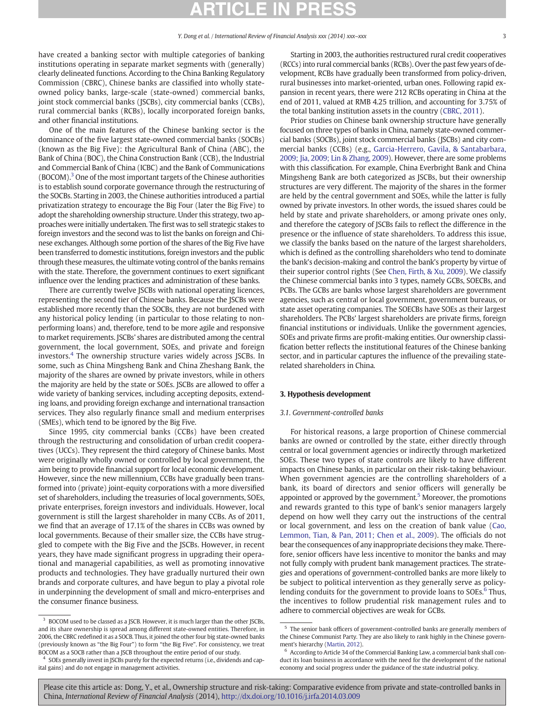<span id="page-2-0"></span>have created a banking sector with multiple categories of banking institutions operating in separate market segments with (generally) clearly delineated functions. According to the China Banking Regulatory Commission (CBRC), Chinese banks are classified into wholly stateowned policy banks, large-scale (state-owned) commercial banks, joint stock commercial banks (JSCBs), city commercial banks (CCBs), rural commercial banks (RCBs), locally incorporated foreign banks, and other financial institutions.

One of the main features of the Chinese banking sector is the dominance of the five largest state-owned commercial banks (SOCBs) (known as the Big Five): the Agricultural Bank of China (ABC), the Bank of China (BOC), the China Construction Bank (CCB), the Industrial and Commercial Bank of China (ICBC) and the Bank of Communications (BOCOM).3 One of the most important targets of the Chinese authorities is to establish sound corporate governance through the restructuring of the SOCBs. Starting in 2003, the Chinese authorities introduced a partial privatization strategy to encourage the Big Four (later the Big Five) to adopt the shareholding ownership structure. Under this strategy, two approaches were initially undertaken. The first was to sell strategic stakes to foreign investors and the second was to list the banks on foreign and Chinese exchanges. Although some portion of the shares of the Big Five have been transferred to domestic institutions, foreign investors and the public through these measures, the ultimate voting control of the banks remains with the state. Therefore, the government continues to exert significant influence over the lending practices and administration of these banks.

There are currently twelve JSCBs with national operating licences, representing the second tier of Chinese banks. Because the JSCBs were established more recently than the SOCBs, they are not burdened with any historical policy lending (in particular to those relating to nonperforming loans) and, therefore, tend to be more agile and responsive to market requirements. JSCBs' shares are distributed among the central government, the local government, SOEs, and private and foreign investors.<sup>4</sup> The ownership structure varies widely across JSCBs. In some, such as China Mingsheng Bank and China Zheshang Bank, the majority of the shares are owned by private investors, while in others the majority are held by the state or SOEs. JSCBs are allowed to offer a wide variety of banking services, including accepting deposits, extending loans, and providing foreign exchange and international transaction services. They also regularly finance small and medium enterprises (SMEs), which tend to be ignored by the Big Five.

Since 1995, city commercial banks (CCBs) have been created through the restructuring and consolidation of urban credit cooperatives (UCCs). They represent the third category of Chinese banks. Most were originally wholly owned or controlled by local government, the aim being to provide financial support for local economic development. However, since the new millennium, CCBs have gradually been transformed into (private) joint-equity corporations with a more diversified set of shareholders, including the treasuries of local governments, SOEs, private enterprises, foreign investors and individuals. However, local government is still the largest shareholder in many CCBs. As of 2011, we find that an average of 17.1% of the shares in CCBs was owned by local governments. Because of their smaller size, the CCBs have struggled to compete with the Big Five and the JSCBs. However, in recent years, they have made significant progress in upgrading their operational and managerial capabilities, as well as promoting innovative products and technologies. They have gradually nurtured their own brands and corporate cultures, and have begun to play a pivotal role in underpinning the development of small and micro-enterprises and the consumer finance business.

Starting in 2003, the authorities restructured rural credit cooperatives (RCCs) into rural commercial banks (RCBs). Over the past few years of development, RCBs have gradually been transformed from policy-driven, rural businesses into market-oriented, urban ones. Following rapid expansion in recent years, there were 212 RCBs operating in China at the end of 2011, valued at RMB 4.25 trillion, and accounting for 3.75% of the total banking institution assets in the country [\(CBRC, 2011\)](#page-10-0).

Prior studies on Chinese bank ownership structure have generally focused on three types of banks in China, namely state-owned commercial banks (SOCBs), joint stock commercial banks (JSCBs) and city commercial banks (CCBs) (e.g., [Garcia-Herrero, Gavila, & Santabarbara,](#page-10-0) [2009; Jia, 2009; Lin & Zhang, 2009\)](#page-10-0). However, there are some problems with this classification. For example, China Everbright Bank and China Mingsheng Bank are both categorized as JSCBs, but their ownership structures are very different. The majority of the shares in the former are held by the central government and SOEs, while the latter is fully owned by private investors. In other words, the issued shares could be held by state and private shareholders, or among private ones only, and therefore the category of JSCBs fails to reflect the difference in the presence or the influence of state shareholders. To address this issue, we classify the banks based on the nature of the largest shareholders, which is defined as the controlling shareholders who tend to dominate the bank's decision-making and control the bank's property by virtue of their superior control rights (See [Chen, Firth, & Xu, 2009\)](#page-10-0). We classify the Chinese commercial banks into 3 types, namely GCBs, SOECBs, and PCBs. The GCBs are banks whose largest shareholders are government agencies, such as central or local government, government bureaus, or state asset operating companies. The SOECBs have SOEs as their largest shareholders. The PCBs' largest shareholders are private firms, foreign financial institutions or individuals. Unlike the government agencies, SOEs and private firms are profit-making entities. Our ownership classification better reflects the institutional features of the Chinese banking sector, and in particular captures the influence of the prevailing staterelated shareholders in China.

# 3. Hypothesis development

# 3.1. Government-controlled banks

For historical reasons, a large proportion of Chinese commercial banks are owned or controlled by the state, either directly through central or local government agencies or indirectly through marketized SOEs. These two types of state controls are likely to have different impacts on Chinese banks, in particular on their risk-taking behaviour. When government agencies are the controlling shareholders of a bank, its board of directors and senior officers will generally be appointed or approved by the government.<sup>5</sup> Moreover, the promotions and rewards granted to this type of bank's senior managers largely depend on how well they carry out the instructions of the central or local government, and less on the creation of bank value [\(Cao,](#page-9-0) [Lemmon, Tian, & Pan, 2011; Chen et al., 2009](#page-9-0)). The officials do not bear the consequences of any inappropriate decisions they make. Therefore, senior officers have less incentive to monitor the banks and may not fully comply with prudent bank management practices. The strategies and operations of government-controlled banks are more likely to be subject to political intervention as they generally serve as policylending conduits for the government to provide loans to SOEs.<sup>6</sup> Thus, the incentives to follow prudential risk management rules and to adhere to commercial objectives are weak for GCBs.

<sup>&</sup>lt;sup>3</sup> BOCOM used to be classed as a JSCB. However, it is much larger than the other JSCBs, and its share ownership is spread among different state-owned entities. Therefore, in 2006, the CBRC redefined it as a SOCB. Thus, it joined the other four big state-owned banks (previously known as "the Big Four") to form "the Big Five". For consistency, we treat BOCOM as a SOCB rather than a JSCB throughout the entire period of our study.

<sup>&</sup>lt;sup>4</sup> SOEs generally invest in JSCBs purely for the expected returns (i.e., dividends and capital gains) and do not engage in management activities.

 $5$  The senior bank officers of government-controlled banks are generally members of the Chinese Communist Party. They are also likely to rank highly in the Chinese government's hierarchy ([Martin, 2012](#page-10-0)).

<sup>6</sup> According to Article 34 of the Commercial Banking Law, a commercial bank shall conduct its loan business in accordance with the need for the development of the national economy and social progress under the guidance of the state industrial policy.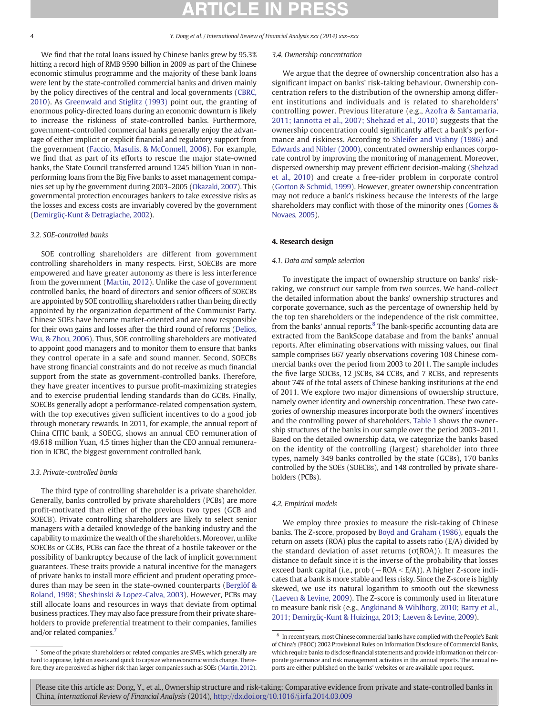<span id="page-3-0"></span>We find that the total loans issued by Chinese banks grew by 95.3% hitting a record high of RMB 9590 billion in 2009 as part of the Chinese economic stimulus programme and the majority of these bank loans were lent by the state-controlled commercial banks and driven mainly by the policy directives of the central and local governments ([CBRC,](#page-9-0) [2010](#page-9-0)). As [Greenwald and Stiglitz \(1993\)](#page-10-0) point out, the granting of enormous policy-directed loans during an economic downturn is likely to increase the riskiness of state-controlled banks. Furthermore, government-controlled commercial banks generally enjoy the advantage of either implicit or explicit financial and regulatory support from the government [\(Faccio, Masulis, & McConnell, 2006](#page-10-0)). For example, we find that as part of its efforts to rescue the major state-owned banks, the State Council transferred around 1245 billion Yuan in nonperforming loans from the Big Five banks to asset management companies set up by the government during 2003–2005 ([Okazaki, 2007](#page-10-0)). This governmental protection encourages bankers to take excessive risks as the losses and excess costs are invariably covered by the government [\(Demirgüç-Kunt & Detragiache, 2002\)](#page-10-0).

# 3.2. SOE-controlled banks

SOE controlling shareholders are different from government controlling shareholders in many respects. First, SOECBs are more empowered and have greater autonomy as there is less interference from the government [\(Martin, 2012](#page-10-0)). Unlike the case of government controlled banks, the board of directors and senior officers of SOECBs are appointed by SOE controlling shareholders rather than being directly appointed by the organization department of the Communist Party. Chinese SOEs have become market-oriented and are now responsible for their own gains and losses after the third round of reforms [\(Delios,](#page-10-0) [Wu, & Zhou, 2006\)](#page-10-0). Thus, SOE controlling shareholders are motivated to appoint good managers and to monitor them to ensure that banks they control operate in a safe and sound manner. Second, SOECBs have strong financial constraints and do not receive as much financial support from the state as government-controlled banks. Therefore, they have greater incentives to pursue profit-maximizing strategies and to exercise prudential lending standards than do GCBs. Finally, SOECBs generally adopt a performance-related compensation system, with the top executives given sufficient incentives to do a good job through monetary rewards. In 2011, for example, the annual report of China CITIC bank, a SOECG, shows an annual CEO remuneration of 49.618 million Yuan, 4.5 times higher than the CEO annual remuneration in ICBC, the biggest government controlled bank.

# 3.3. Private-controlled banks

The third type of controlling shareholder is a private shareholder. Generally, banks controlled by private shareholders (PCBs) are more profit-motivated than either of the previous two types (GCB and SOECB). Private controlling shareholders are likely to select senior managers with a detailed knowledge of the banking industry and the capability to maximize the wealth of the shareholders. Moreover, unlike SOECBs or GCBs, PCBs can face the threat of a hostile takeover or the possibility of bankruptcy because of the lack of implicit government guarantees. These traits provide a natural incentive for the managers of private banks to install more efficient and prudent operating procedures than may be seen in the state-owned counterparts ([Berglöf &](#page-9-0) [Roland, 1998; Sheshinski & Lopez-Calva, 2003\)](#page-9-0). However, PCBs may still allocate loans and resources in ways that deviate from optimal business practices. They may also face pressure from their private shareholders to provide preferential treatment to their companies, families and/or related companies.<sup>7</sup>

## 3.4. Ownership concentration

We argue that the degree of ownership concentration also has a significant impact on banks' risk-taking behaviour. Ownership concentration refers to the distribution of the ownership among different institutions and individuals and is related to shareholders' controlling power. Previous literature (e.g., [Azofra & Santamaría,](#page-9-0) [2011; Iannotta et al., 2007; Shehzad et al., 2010](#page-9-0)) suggests that the ownership concentration could significantly affect a bank's performance and riskiness. According to [Shleifer and Vishny \(1986\)](#page-10-0) and [Edwards and Nibler \(2000\),](#page-10-0) concentrated ownership enhances corporate control by improving the monitoring of management. Moreover, dispersed ownership may prevent efficient decision-making ([Shehzad](#page-10-0) [et al., 2010\)](#page-10-0) and create a free-rider problem in corporate control [\(Gorton & Schmid, 1999](#page-10-0)). However, greater ownership concentration may not reduce a bank's riskiness because the interests of the large shareholders may conflict with those of the minority ones ([Gomes &](#page-10-0) [Novaes, 2005](#page-10-0)).

# 4. Research design

# 4.1. Data and sample selection

To investigate the impact of ownership structure on banks' risktaking, we construct our sample from two sources. We hand-collect the detailed information about the banks' ownership structures and corporate governance, such as the percentage of ownership held by the top ten shareholders or the independence of the risk committee, from the banks' annual reports. $8$  The bank-specific accounting data are extracted from the BankScope database and from the banks' annual reports. After eliminating observations with missing values, our final sample comprises 667 yearly observations covering 108 Chinese commercial banks over the period from 2003 to 2011. The sample includes the five large SOCBs, 12 JSCBs, 84 CCBs, and 7 RCBs, and represents about 74% of the total assets of Chinese banking institutions at the end of 2011. We explore two major dimensions of ownership structure, namely owner identity and ownership concentration. These two categories of ownership measures incorporate both the owners' incentives and the controlling power of shareholders. [Table 1](#page-4-0) shows the ownership structures of the banks in our sample over the period 2003–2011. Based on the detailed ownership data, we categorize the banks based on the identity of the controlling (largest) shareholder into three types, namely 349 banks controlled by the state (GCBs), 170 banks controlled by the SOEs (SOECBs), and 148 controlled by private shareholders (PCBs).

### 4.2. Empirical models

We employ three proxies to measure the risk-taking of Chinese banks. The Z-score, proposed by [Boyd and Graham \(1986\),](#page-9-0) equals the return on assets (ROA) plus the capital to assets ratio (E/A) divided by the standard deviation of asset returns ( $\sigma$ (ROA)). It measures the distance to default since it is the inverse of the probability that losses exceed bank capital (i.e., prob ( $-ROA < E/A$ )). A higher Z-score indicates that a bank is more stable and less risky. Since the Z-score is highly skewed, we use its natural logarithm to smooth out the skewness [\(Laeven & Levine, 2009](#page-10-0)). The Z-score is commonly used in literature to measure bank risk (e.g., [Angkinand & Wihlborg, 2010; Barry et al.,](#page-9-0) [2011; Demirgüç-Kunt & Huizinga, 2013; Laeven & Levine, 2009\)](#page-9-0).

 $^7\,$  Some of the private shareholders or related companies are SMEs, which generally are hard to appraise, light on assets and quick to capsize when economic winds change. Therefore, they are perceived as higher risk than larger companies such as SOEs [\(Martin, 2012\)](#page-10-0).

<sup>&</sup>lt;sup>8</sup> In recent years, most Chinese commercial banks have complied with the People's Bank of China's (PBOC) 2002 Provisional Rules on Information Disclosure of Commercial Banks, which require banks to disclose financial statements and provide information on their corporate governance and risk management activities in the annual reports. The annual reports are either published on the banks' websites or are available upon request.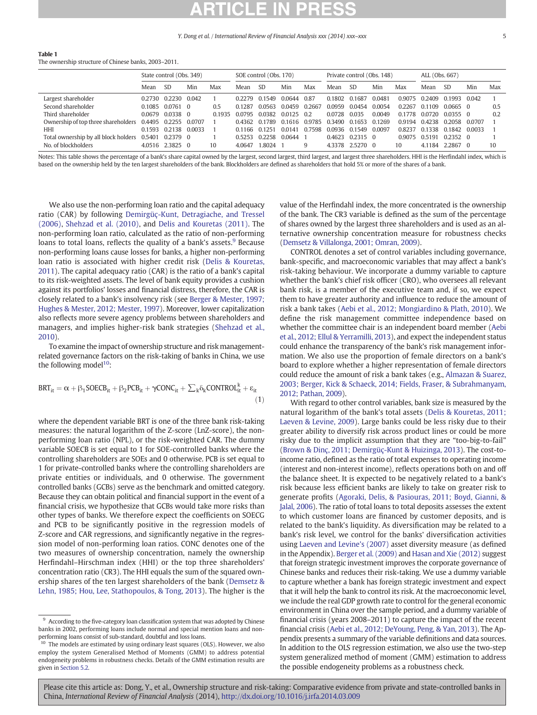### <span id="page-4-0"></span>Table 1

The ownership structure of Chinese banks, 2003–2011.

|                                      |        | State control (Obs. 349) |        | SOE control (Obs. 170) |        | Private control (Obs. 148) |        |        | ALL (Obs. 667) |               |        |        |                      |                  |        |     |
|--------------------------------------|--------|--------------------------|--------|------------------------|--------|----------------------------|--------|--------|----------------|---------------|--------|--------|----------------------|------------------|--------|-----|
|                                      | Mean   | <b>SD</b>                | Min    | Max                    | Mean   | <b>SD</b>                  | Min    | Max    | Mean           | <b>SD</b>     | Min    | Max    | Mean                 | -SD              | Min    | Max |
| Largest shareholder                  |        | 0.2730 0.2230 0.042      |        |                        | 0.2279 | 0.1549                     | 0.0644 | 0.87   | 0.1802         | 0.1687        | 0.0481 |        | 0.9075 0.2409        | 0.1993 0.042     |        |     |
| Second shareholder                   |        | 0.1085 0.0761 0          |        | 0.5                    | 0.1287 | 0.0563                     | 0.0459 | 0.2667 | 0.0959         | 0.0454        | 0.0054 | 02267  | 0.1109               | 0.0665 0         |        | 0.5 |
| Third shareholder                    |        | 0.0679 0.0338 0          |        | 0.1935                 | 0.0795 | 0.0382                     | 0.0125 | -02    | 0.0728         | 0.035         | 0.0049 | 0.1778 | 0.0720               | 003550           |        | 0.2 |
| Ownership of top three shareholders  |        | 0.4495 0.2255            | 0.0707 |                        |        | 0.4362 0.1789              | 0.1616 | 0.9785 | 0 3490         | 0.1653 0.1269 |        | 0.9194 |                      | 0.4238 0.2058    | 0.0707 |     |
| HHI                                  |        | 0.1593 0.2138            | 0.0033 |                        | 0.1166 | በ 1251                     | 0.0141 | 0.7598 | 0.0936         | 0.1549        | 0.0097 | 08237  | 0.1338               | 0.1842           | 0.0033 |     |
| Total ownership by all block holders | 0.5401 | 0.2379 0                 |        |                        | 0.5253 | 0.2258                     | 0.0644 |        | 0.4623         | $0.2315$ 0    |        | 0.9075 | $0.519$ <sup>-</sup> | $0.2352 \quad 0$ |        |     |
| No. of blockholders                  |        | 4.0516 2.3825 0          |        | 10                     | 4.0647 | .8024                      |        | 9      | 4.3378         | 2.5270 0      |        | 10     | 4.1184               | 2.2867 0         |        | 10  |

Notes: This table shows the percentage of a bank's share capital owned by the largest, second largest, and largest, and largest three shareholders. HHI is the Herfindahl index, which is based on the ownership held by the ten largest shareholders of the bank. Blockholders are defined as shareholders that hold 5% or more of the shares of a bank.

We also use the non-performing loan ratio and the capital adequacy ratio (CAR) by following [Demirgüç-Kunt, Detragiache, and Tressel](#page-10-0) [\(2006\)](#page-10-0), [Shehzad et al. \(2010\)](#page-10-0), and [Delis and Kouretas \(2011\)](#page-10-0). The non-performing loan ratio, calculated as the ratio of non-performing loans to total loans, reflects the quality of a bank's assets.<sup>9</sup> Because non-performing loans cause losses for banks, a higher non-performing loan ratio is associated with higher credit risk [\(Delis & Kouretas,](#page-10-0) [2011\)](#page-10-0). The capital adequacy ratio (CAR) is the ratio of a bank's capital to its risk-weighted assets. The level of bank equity provides a cushion against its portfolios' losses and financial distress, therefore, the CAR is closely related to a bank's insolvency risk (see [Berger & Mester, 1997;](#page-9-0) [Hughes & Mester, 2012; Mester, 1997](#page-9-0)). Moreover, lower capitalization also reflects more severe agency problems between shareholders and managers, and implies higher-risk bank strategies ([Shehzad et al.,](#page-10-0) [2010](#page-10-0)).

To examine the impact of ownership structure and risk managementrelated governance factors on the risk-taking of banks in China, we use the following model $10$ :

$$
BRT_{it} = \alpha + \beta_1 \text{SOECB}_{it} + \beta_2 PCB_{it} + \gamma \text{CONC}_{it} + \sum_{k} \delta_k \text{CONTROL}_{it}^k + \epsilon_{it}
$$
\n(1)

where the dependent variable BRT is one of the three bank risk-taking measures: the natural logarithm of the Z-score (LnZ-score), the nonperforming loan ratio (NPL), or the risk-weighted CAR. The dummy variable SOECB is set equal to 1 for SOE-controlled banks where the controlling shareholders are SOEs and 0 otherwise. PCB is set equal to 1 for private-controlled banks where the controlling shareholders are private entities or individuals, and 0 otherwise. The government controlled banks (GCBs) serve as the benchmark and omitted category. Because they can obtain political and financial support in the event of a financial crisis, we hypothesize that GCBs would take more risks than other types of banks. We therefore expect the coefficients on SOECG and PCB to be significantly positive in the regression models of Z-score and CAR regressions, and significantly negative in the regression model of non-performing loan ratios. CONC denotes one of the two measures of ownership concentration, namely the ownership Herfindahl–Hirschman index (HHI) or the top three shareholders' concentration ratio (CR3). The HHI equals the sum of the squared ownership shares of the ten largest shareholders of the bank [\(Demsetz &](#page-10-0) [Lehn, 1985; Hou, Lee, Stathopoulos, & Tong, 2013](#page-10-0)). The higher is the value of the Herfindahl index, the more concentrated is the ownership of the bank. The CR3 variable is defined as the sum of the percentage of shares owned by the largest three shareholders and is used as an alternative ownership concentration measure for robustness checks [\(Demsetz & Villalonga, 2001; Omran, 2009\)](#page-10-0).

CONTROL denotes a set of control variables including governance, bank-specific, and macroeconomic variables that may affect a bank's risk-taking behaviour. We incorporate a dummy variable to capture whether the bank's chief risk officer (CRO), who oversees all relevant bank risk, is a member of the executive team and, if so, we expect them to have greater authority and influence to reduce the amount of risk a bank takes [\(Aebi et al., 2012; Mongiardino & Plath, 2010](#page-9-0)). We define the risk management committee independence based on whether the committee chair is an independent board member [\(Aebi](#page-9-0) [et al., 2012; Ellul & Yerramilli, 2013](#page-9-0)), and expect the independent status could enhance the transparency of the bank's risk management information. We also use the proportion of female directors on a bank's board to explore whether a higher representation of female directors could reduce the amount of risk a bank takes (e.g., [Almazan & Suarez,](#page-9-0) [2003; Berger, Kick & Schaeck, 2014; Fields, Fraser, & Subrahmanyam,](#page-9-0) [2012; Pathan, 2009](#page-9-0)).

With regard to other control variables, bank size is measured by the natural logarithm of the bank's total assets ([Delis & Kouretas, 2011;](#page-10-0) [Laeven & Levine, 2009](#page-10-0)). Large banks could be less risky due to their greater ability to diversify risk across product lines or could be more risky due to the implicit assumption that they are "too-big-to-fail" [\(Brown & Dinç, 2011; Demirgüç-Kunt & Huizinga, 2013\)](#page-9-0). The cost-toincome ratio, defined as the ratio of total expenses to operating income (interest and non-interest income), reflects operations both on and off the balance sheet. It is expected to be negatively related to a bank's risk because less efficient banks are likely to take on greater risk to generate profits ([Agoraki, Delis, & Pasiouras, 2011; Boyd, Gianni, &](#page-9-0) [Jalal, 2006\)](#page-9-0). The ratio of total loans to total deposits assesses the extent to which customer loans are financed by customer deposits, and is related to the bank's liquidity. As diversification may be related to a bank's risk level, we control for the banks' diversification activities using [Laeven and Levine's \(2007\)](#page-10-0) asset diversity measure (as defined in the Appendix). [Berger et al. \(2009\)](#page-9-0) and [Hasan and Xie \(2012\)](#page-10-0) suggest that foreign strategic investment improves the corporate governance of Chinese banks and reduces their risk-taking. We use a dummy variable to capture whether a bank has foreign strategic investment and expect that it will help the bank to control its risk. At the macroeconomic level, we include the real GDP growth rate to control for the general economic environment in China over the sample period, and a dummy variable of financial crisis (years 2008–2011) to capture the impact of the recent financial crisis [\(Aebi et al., 2012; DeYoung, Peng, & Yan, 2013](#page-9-0)). The Appendix presents a summary of the variable definitions and data sources. In addition to the OLS regression estimation, we also use the two-step system generalized method of moment (GMM) estimation to address the possible endogeneity problems as a robustness check.

 $9\,$  According to the five-category loan classification system that was adopted by Chinese banks in 2002, performing loans include normal and special mention loans and nonperforming loans consist of sub-standard, doubtful and loss loans.

 $10$  The models are estimated by using ordinary least squares (OLS). However, we also employ the system Generalised Method of Moments (GMM) to address potential endogeneity problems in robustness checks. Details of the GMM estimation results are given in [Section 5.2.](#page-7-0)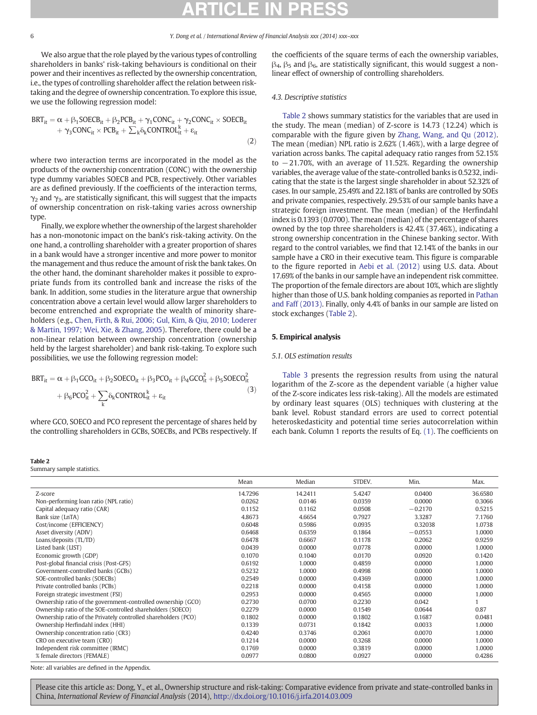<span id="page-5-0"></span>We also argue that the role played by the various types of controlling shareholders in banks' risk-taking behaviours is conditional on their power and their incentives as reflected by the ownership concentration, i.e., the types of controlling shareholder affect the relation between risktaking and the degree of ownership concentration. To explore this issue, we use the following regression model:

$$
BRT_{it} = \alpha + \beta_1 \text{SOECB}_{it} + \beta_2 PCB_{it} + \gamma_1 CONC_{it} + \gamma_2 CONC_{it} \times SOECB_{it} + \gamma_3 CONC_{it} \times PCB_{it} + \sum_k \delta_k CONTROL_{it} + \epsilon_{it}
$$
\n(2)

where two interaction terms are incorporated in the model as the products of the ownership concentration (CONC) with the ownership type dummy variables SOECB and PCB, respectively. Other variables are as defined previously. If the coefficients of the interaction terms,  $\gamma_2$  and  $\gamma_3$ , are statistically significant, this will suggest that the impacts of ownership concentration on risk-taking varies across ownership type.

Finally, we explore whether the ownership of the largest shareholder has a non-monotonic impact on the bank's risk-taking activity. On the one hand, a controlling shareholder with a greater proportion of shares in a bank would have a stronger incentive and more power to monitor the management and thus reduce the amount of risk the bank takes. On the other hand, the dominant shareholder makes it possible to expropriate funds from its controlled bank and increase the risks of the bank. In addition, some studies in the literature argue that ownership concentration above a certain level would allow larger shareholders to become entrenched and expropriate the wealth of minority shareholders (e.g., [Chen, Firth, & Rui, 2006; Gul, Kim, & Qiu, 2010; Loderer](#page-10-0) [& Martin, 1997; Wei, Xie, & Zhang, 2005\)](#page-10-0). Therefore, there could be a non-linear relation between ownership concentration (ownership held by the largest shareholder) and bank risk-taking. To explore such possibilities, we use the following regression model:

$$
\begin{aligned} BRT_{it} = \alpha + \beta_1 GCO_{it} + \beta_2 SOECO_{it} + \beta_3 PCO_{it} + \beta_4 GCO_{it}^2 + \beta_5 SOECO_{it}^2 \\ &+ \beta_6 PCO_{it}^2 + \sum_k \delta_k CONTROL_{it}^k + \epsilon_{it} \end{aligned} \tag{3}
$$

where GCO, SOECO and PCO represent the percentage of shares held by the controlling shareholders in GCBs, SOECBs, and PCBs respectively. If

### Table 2

Summary sample statistics.

the coefficients of the square terms of each the ownership variables,  $\beta_4$ ,  $\beta_5$  and  $\beta_6$ , are statistically significant, this would suggest a nonlinear effect of ownership of controlling shareholders.

# 4.3. Descriptive statistics

[Table 2](#page-6-0) shows summary statistics for the variables that are used in the study. The mean (median) of Z-score is 14.73 (12.24) which is comparable with the figure given by [Zhang, Wang, and Qu \(2012\).](#page-10-0) The mean (median) NPL ratio is 2.62% (1.46%), with a large degree of variation across banks. The capital adequacy ratio ranges from 52.15% to −21.70%, with an average of 11.52%. Regarding the ownership variables, the average value of the state-controlled banks is 0.5232, indicating that the state is the largest single shareholder in about 52.32% of cases. In our sample, 25.49% and 22.18% of banks are controlled by SOEs and private companies, respectively. 29.53% of our sample banks have a strategic foreign investment. The mean (median) of the Herfindahl index is 0.1393 (0.0700). The mean (median) of the percentage of shares owned by the top three shareholders is 42.4% (37.46%), indicating a strong ownership concentration in the Chinese banking sector. With regard to the control variables, we find that 12.14% of the banks in our sample have a CRO in their executive team. This figure is comparable to the figure reported in [Aebi et al. \(2012\)](#page-9-0) using U.S. data. About 17.69% of the banks in our sample have an independent risk committee. The proportion of the female directors are about 10%, which are slightly higher than those of U.S. bank holding companies as reported in [Pathan](#page-10-0) [and Faff \(2013\)](#page-10-0). Finally, only 4.4% of banks in our sample are listed on stock exchanges (Table 2).

### 5. Empirical analysis

# 5.1. OLS estimation results

[Table 3](#page-6-0) presents the regression results from using the natural logarithm of the Z-score as the dependent variable (a higher value of the Z-score indicates less risk-taking). All the models are estimated by ordinary least squares (OLS) techniques with clustering at the bank level. Robust standard errors are used to correct potential heteroskedasticity and potential time series autocorrelation within each bank. Column 1 reports the results of Eq. [\(1\)](#page-4-0). The coefficients on

|                                                                | Mean    | Median  | STDEV. | Min.      | Max.    |
|----------------------------------------------------------------|---------|---------|--------|-----------|---------|
| Z-score                                                        | 14.7296 | 14.2411 | 5.4247 | 0.0400    | 36.6580 |
| Non-performing loan ratio (NPL ratio)                          | 0.0262  | 0.0146  | 0.0359 | 0.0000    | 0.3066  |
| Capital adequacy ratio (CAR)                                   | 0.1152  | 0.1162  | 0.0508 | $-0.2170$ | 0.5215  |
| Bank size (LnTA)                                               | 4.8673  | 4.6654  | 0.7927 | 3.3287    | 7.1760  |
| Cost/income (EFFICIENCY)                                       | 0.6048  | 0.5986  | 0.0935 | 0.32038   | 1.0738  |
| Asset diversity (ADIV)                                         | 0.6468  | 0.6359  | 0.1864 | $-0.0553$ | 1.0000  |
| Loans/deposits (TL/TD)                                         | 0.6478  | 0.6667  | 0.1178 | 0.2062    | 0.9259  |
| Listed bank (LIST)                                             | 0.0439  | 0.0000  | 0.0778 | 0.0000    | 1.0000  |
| Economic growth (GDP)                                          | 0.1070  | 0.1040  | 0.0170 | 0.0920    | 0.1420  |
| Post-global financial crisis (Post-GFS)                        | 0.6192  | 1.0000  | 0.4859 | 0.0000    | 1.0000  |
| Government-controlled banks (GCBs)                             | 0.5232  | 1.0000  | 0.4998 | 0.0000    | 1.0000  |
| SOE-controlled banks (SOECBs)                                  | 0.2549  | 0.0000  | 0.4369 | 0.0000    | 1.0000  |
| Private controlled banks (PCBs)                                | 0.2218  | 0.0000  | 0.4158 | 0.0000    | 1.0000  |
| Foreign strategic investment (FSI)                             | 0.2953  | 0.0000  | 0.4565 | 0.0000    | 1.0000  |
| Ownership ratio of the government-controlled ownership (GCO)   | 0.2730  | 0.0700  | 0.2230 | 0.042     |         |
| Ownership ratio of the SOE-controlled shareholders (SOECO)     | 0.2279  | 0.0000  | 0.1549 | 0.0644    | 0.87    |
| Ownership ratio of the Privately controlled shareholders (PCO) | 0.1802  | 0.0000  | 0.1802 | 0.1687    | 0.0481  |
| Ownership Herfindahl index (HHI)                               | 0.1339  | 0.0731  | 0.1842 | 0.0033    | 1.0000  |
| Ownership concentration ratio (CR3)                            | 0.4240  | 0.3746  | 0.2061 | 0.0070    | 1.0000  |
| CRO on executive team (CRO)                                    | 0.1214  | 0.0000  | 0.3268 | 0.0000    | 1.0000  |
| Independent risk committee (IRMC)                              | 0.1769  | 0.0000  | 0.3819 | 0.0000    | 1.0000  |
| % female directors (FEMALE)                                    | 0.0977  | 0.0800  | 0.0927 | 0.0000    | 0.4286  |

Note: all variables are defined in the Appendix.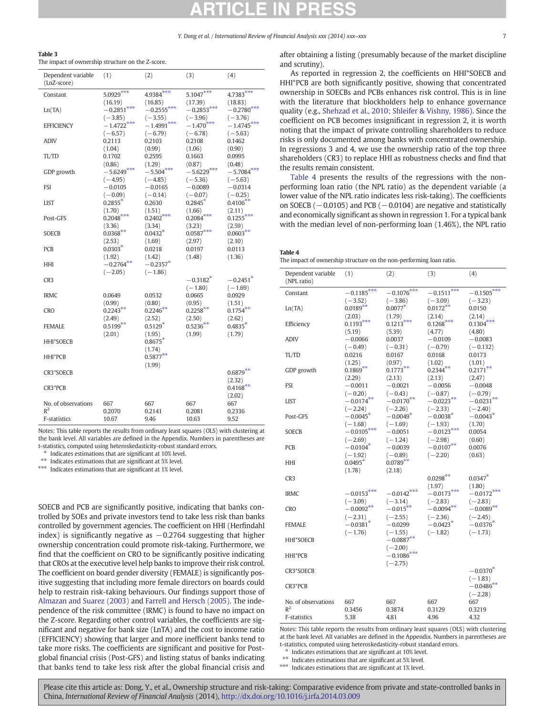<span id="page-6-0"></span>

The impact of ownership structure on the Z-score.

| Dependent variable<br>(LnZ-score) | (1)                                  | (2)                                       | (3)                                  | (4)                                       |
|-----------------------------------|--------------------------------------|-------------------------------------------|--------------------------------------|-------------------------------------------|
| Constant                          | $5.0929***$                          | $4.9384***$                               | $5.1047***$                          | $4.7383***$                               |
| Ln(TA)                            | (16.19)<br>$-0.2851***$<br>$(-3.85)$ | (16.85)<br>$-0.2555***$<br>$(-3.55)$      | (17.39)<br>$-0.2853***$<br>$(-3.96)$ | (18.83)<br>$-0.2780***$<br>$(-3.76)$      |
| <b>EFFICIENCY</b>                 | $-1.4722$ <sup>***</sup>             | $-1.4991$ ***                             | $-1.470^{***}$                       | $-1.4745***$                              |
| ADIV                              | $(-6.57)$<br>0.2113<br>(1.04)        | $(-6.79)$<br>0.2103<br>(0.99)             | $(-6.78)$<br>0.2108<br>(1.06)        | $(-5.63)$<br>0.1462<br>(0.90)             |
| TL/TD                             | 0.1702                               | 0.2595                                    | 0.1663                               | 0.0995                                    |
| GDP growth                        | (0.86)<br>$-5.6249***$<br>$(-4.95)$  | (1.29)<br>$-5.504***$<br>$(-4.85)$        | (0.87)<br>$-5.6229***$<br>$(-5.36)$  | (0.48)<br>$-5.7084***$<br>$(-5.63)$       |
| <b>FSI</b>                        | $-0.0105$<br>$(-0.09)$               | $-0.0165$<br>$(-0.14)$                    | $-0.0089$<br>$(-0.07)$               | $-0.0314$<br>$(-0.25)$                    |
| <b>LIST</b>                       | $0.2855*$                            | 0.2630                                    | $0.2845*$                            | $0.4106**$                                |
| Post-GFS                          | (1.70)<br>$0.2048***$<br>(3.36)      | (1.51)<br>$0.2402***$<br>(3.34)           | (1.66)<br>$0.2084***$<br>(3.23)      | (2.11)<br>$0.1255***$<br>(2.59)           |
| <b>SOECB</b>                      | $0.0368***$                          | $0.0432*$                                 | $0.0587***$                          | $0.0603**$                                |
| PCB                               | (2.53)<br>$0.0303*$                  | (1.69)<br>0.0218                          | (2.97)<br>0.0197                     | (2.10)<br>0.0113                          |
| HНI                               | (1.92)<br>$-0.2764**$<br>$(-2.05)$   | (1.42)<br>$-0.2357*$<br>$(-1.86)$         | (1.48)                               | (1.36)                                    |
| CR <sub>3</sub>                   |                                      |                                           | $-0.3182*$<br>$(-1.80)$              | $-0.2451$ <sup>*</sup><br>$(-1.69)$       |
| <b>IRMC</b>                       | 0.0649                               | 0.0532                                    | 0.0665                               | 0.0929                                    |
| CRO                               | (0.99)<br>$0.2243**$                 | (0.80)<br>$0.2246**$                      | (0.95)<br>$0.2258***$                | (1.51)<br>$0.1754***$                     |
| <b>FEMALE</b>                     | (2.49)<br>$0.5199**$<br>(2.01)       | (2.52)<br>$0.5129$ <sup>*</sup><br>(1.95) | (2.50)<br>0.5236<br>(1.99)           | (2.62)<br>$0.4835$ <sup>*</sup><br>(1.79) |
| <b>HHI*SOECB</b>                  |                                      | $0.8675*$<br>(1.74)                       |                                      |                                           |
| HHI*PCB                           |                                      | $0.5877**$<br>(1.99)                      |                                      |                                           |
| CR3*SOECB                         |                                      |                                           |                                      | $0.6879**$<br>(2.32)                      |
| CR3*PCB                           |                                      |                                           |                                      | $0.4168$ **<br>(2.02)                     |
| No. of observations<br>$R^2$      | 667<br>0.2070                        | 667<br>0.2141                             | 667<br>0.2081                        | 667<br>0.2336                             |
| F-statistics                      | 10.67                                | 9.46                                      | 10.63                                | 9.52                                      |

Notes: This table reports the results from ordinary least squares (OLS) with clustering at the bank level. All variables are defined in the Appendix. Numbers in parentheses are t-statistics, computed using heteroskedasticity-robust standard errors.

⁎ Indicates estimations that are significant at 10% level.

⁎⁎ Indicates estimations that are significant at 5% level.

⁎⁎⁎ Indicates estimations that are significant at 1% level.

SOECB and PCB are significantly positive, indicating that banks controlled by SOEs and private investors tend to take less risk than banks controlled by government agencies. The coefficient on HHI (Herfindahl index) is significantly negative as  $-0.2764$  suggesting that higher ownership concentration could promote risk-taking. Furthermore, we find that the coefficient on CRO to be significantly positive indicating that CROs at the executive level help banks to improve their risk control. The coefficient on board gender diversity (FEMALE) is significantly positive suggesting that including more female directors on boards could help to restrain risk-taking behaviours. Our findings support those of [Almazan and Suarez \(2003\)](#page-9-0) and [Farrell and Hersch \(2005\).](#page-10-0) The independence of the risk committee (IRMC) is found to have no impact on the Z-score. Regarding other control variables, the coefficients are significant and negative for bank size (LnTA) and the cost to income ratio (EFFICIENCY) showing that larger and more inefficient banks tend to take more risks. The coefficients are significant and positive for Postglobal financial crisis (Post-GFS) and listing status of banks indicating that banks tend to take less risk after the global financial crisis and after obtaining a listing (presumably because of the market discipline and scrutiny).

As reported in regression 2, the coefficients on HHI\*SOECB and HHI\*PCB are both significantly positive, showing that concentrated ownership in SOECBs and PCBs enhances risk control. This is in line with the literature that blockholders help to enhance governance quality (e.g., [Shehzad et al., 2010; Shleifer & Vishny, 1986\)](#page-10-0). Since the coefficient on PCB becomes insignificant in regression 2, it is worth noting that the impact of private controlling shareholders to reduce risks is only documented among banks with concentrated ownership. In regressions 3 and 4, we use the ownership ratio of the top three shareholders (CR3) to replace HHI as robustness checks and find that the results remain consistent.

Table 4 presents the results of the regressions with the nonperforming loan ratio (the NPL ratio) as the dependent variable (a lower value of the NPL ratio indicates less risk-taking). The coefficients on SOECB ( $-0.0105$ ) and PCB ( $-0.0104$ ) are negative and statistically and economically significant as shown in regression 1. For a typical bank with the median level of non-performing loan (1.46%), the NPL ratio

Table 4 The impact of ownership structure on the non-performing loan ratio.

| Dependent variable<br>(NPL ratio) | (1)                    | (2)           | (3)              | (4)          |
|-----------------------------------|------------------------|---------------|------------------|--------------|
| Constant                          | $-0.1185***$           | $-0.1076$ *** | ***<br>$-0.1511$ | $-0.1505***$ |
|                                   | $(-3.52)$              | $(-3.86)$     | $(-3.09)$        | $(-3.23)$    |
| Ln(TA)                            | $0.0189**$             | $0.0077$ *    | $0.0172***$      | 0.0150       |
|                                   | (2.03)                 | (1.79)        | (2.14)           | (2.14)       |
| Efficiency                        | $0.1193***$            | $0.1213***$   | $0.1268***$      | $0.1304***$  |
|                                   | (5.19)                 | (5.39)        | (4.77)           | (4.80)       |
| ADIV                              | $-0.0066$              | 0.0037        | $-0.0109$        | $-0.0083$    |
|                                   | $(-0.49)$              | $(-0.31)$     | $(-0.79)$        | $(-0.132)$   |
| TL/TD                             | 0.0216                 | 0.0167        | 0.0168           | 0.0173       |
|                                   | (1.25)                 | (0.97)        | (1.02)           | (1.01)       |
| GDP growth                        | $0.1869**$             | $0.1773**$    | $0.2344**$       | $0.2171**$   |
|                                   | (2.29)                 | (2.13)        | (2.13)           | (2.47)       |
| <b>FSI</b>                        | $-0.0011$              | $-0.0021$     | $-0.0056$        | $-0.0048$    |
|                                   | $(-0.20)$              | $(-0.43)$     | $(-0.87)$        | $(-0.79)$    |
| <b>LIST</b>                       | $-0.0174**$            | $-0.0170***$  | $-0.0223***$     | $-0.0231$    |
|                                   | $(-2.24)$              | $(-2.26)$     | $(-2.33)$        | $(-2.40)$    |
| Post-GFS                          | $-0.0045*$             | $-0.0049*$    | $-0.0038*$       | $-0.0043*$   |
|                                   | $(-1.68)$              | $(-1.69)$     | $(-1.93)$        | (1.70)       |
| <b>SOECB</b>                      | $-0.0105***$           | $-0.0051$     | $-0.0123***$     | 0.0054       |
|                                   | $(-2.69)$              | $(-1.24)$     | $(-2.98)$        | (0.60)       |
| PCB                               | $-0.0104*$             | $-0.0039$     | $-0.0107**$      | 0.0076       |
|                                   | $(-1.92)$              | $(-0.89)$     | $(-2.20)$        | (0.63)       |
| HHI                               | $0.0495*$              | $0.0789**$    |                  |              |
|                                   | (1.78)                 | (2.18)        |                  |              |
| CR3                               |                        |               | $0.0298***$      | $0.0347*$    |
|                                   |                        |               | (1.97)           | (1.80)       |
| IRMC                              | $-0.0153***$           | $-0.0142***$  | $-0.0173***$     | $-0.0172***$ |
|                                   | $(-3.09)$              | $(-3.14)$     | $(-2.83)$        | $(-2.83)$    |
| <b>CRO</b>                        | $-0.0092**$            | $-0.015**$    | $-0.0094**$      | $-0.0089**$  |
|                                   | $(-2.31)$              | $(-2.55)$     | $(-2.36)$        | $(-2.45)$    |
| <b>FEMALE</b>                     | $-0.0381$ <sup>*</sup> | $-0.0299$     | $-0.0423*$       | $-0.0376*$   |
|                                   | $(-1.76)$              | $(-1.55)$     | $(-1.82)$        | $(-1.73)$    |
| HHI*SOECB                         |                        | $-0.0887**$   |                  |              |
|                                   |                        | $(-2.00)$     |                  |              |
| HHI*PCB                           |                        | $-0.1086$ *** |                  |              |
|                                   |                        | $(-2.75)$     |                  |              |
| CR3*SOECB                         |                        |               |                  | $-0.0370*$   |
|                                   |                        |               |                  | $(-1.83)$    |
| CR3*PCB                           |                        |               |                  | $-0.0486**$  |
|                                   |                        |               |                  | $(-2.28)$    |
| No. of observations               | 667                    | 667           | 667              | 667          |
| $R^2$                             | 0.3456                 | 0.3874        | 0.3129           | 0.3219       |
| F-statistics                      | 5.38                   | 4.81          | 4.96             | 4.32         |
|                                   |                        |               |                  |              |

Notes: This table reports the results from ordinary least squares (OLS) with clustering at the bank level. All variables are defined in the Appendix. Numbers in parentheses are t-statistics, computed using heteroskedasticity-robust standard errors.

Indicates estimations that are significant at 10% level.

 $^{**}\,$  Indicates estimations that are significant at 5% level.

⁎⁎⁎ Indicates estimations that are significant at 1% level.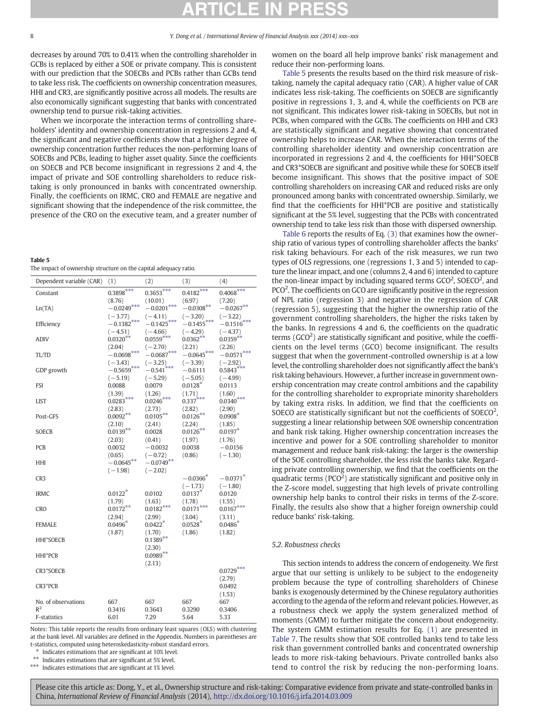<span id="page-7-0"></span>decreases by around 70% to 0.41% when the controlling shareholder in GCBs is replaced by either a SOE or private company. This is consistent with our prediction that the SOECBs and PCBs rather than GCBs tend to take less risk. The coefficients on ownership concentration measures, HHI and CR3, are significantly positive across all models. The results are also economically significant suggesting that banks with concentrated ownership tend to pursue risk-taking activities.

When we incorporate the interaction terms of controlling shareholders' identity and ownership concentration in regressions 2 and 4, the significant and negative coefficients show that a higher degree of ownership concentration further reduces the non-performing loans of SOECBs and PCBs, leading to higher asset quality. Since the coefficients on SOECB and PCB become insignificant in regressions 2 and 4, the impact of private and SOE controlling shareholders to reduce risktaking is only pronounced in banks with concentrated ownership. Finally, the coefficients on IRMC, CRO and FEMALE are negative and significant showing that the independence of the risk committee, the presence of the CRO on the executive team, and a greater number of

### Table 5

The impact of ownership structure on the capital adequacy ratio.

| Dependent variable (CAR) | (1)                    | (2)                       | (3)                    | (4)                      |
|--------------------------|------------------------|---------------------------|------------------------|--------------------------|
| Constant                 | $0.3898***$            | $0.3653***$               | $0.4182***$            | $0.4068***$              |
|                          | (8.76)                 | (10.01)                   | (6.97)                 | (7.20)                   |
| Ln(TA)                   | $-0.0249***$           | $-0.0201***$              | $-0.0308***$           | $-0.0267**$              |
|                          | $(-3.77)$              | $(-4.11)$                 | $(-3.20)$              | $(-3.22)$                |
| Efficiency               | $-0.1382***$           | $-0.1425***$              | $-0.1455***$           | $-0.1516***$             |
|                          | $(-4.51)$              | $(-4.66)$                 | $(-4.29)$              | $(-4.37)$                |
| <b>ADIV</b>              | $0.0320**$             | $0.0559***$               | $0.0362***$            | $0.0359***$              |
|                          | (2.04)<br>$-0.0698***$ | $(-2.70)$<br>$-0.0687***$ | (2.21)<br>$-0.0645***$ | (2.26)<br>$-0.0571***$   |
| TL/TD                    | $(-3.43)$              | $(-3.25)$                 | $(-3.39)$              |                          |
| GDP growth               | $-0.5659***$           | $-0.541$ <sup>***</sup>   | $-0.6111$              | $(-2.92)$<br>$0.5843***$ |
|                          | $(-5.19)$              | $(-5.29)$                 | $(-5.05)$              | $(-4.99)$                |
| <b>FSI</b>               | 0.0088                 | 0.0079                    | $0.0128*$              | 0.0113                   |
|                          | (1.39)                 | (1.26)                    | (1.71)                 | (1.60)                   |
| <b>LIST</b>              | $0.0283***$            | $0.0246***$               | $0.337***$             | $0.0340***$              |
|                          | (2.83)                 | (2.73)                    | (2.82)                 | (2.90)                   |
| Post-GFS                 | $0.0092**$             | $0.0105***$               | $0.0126***$            | $0.0908*$                |
|                          | (2.10)                 | (2.41)                    | (2.24)                 | (1.85)                   |
| SOECB                    | $0.0139***$            | 0.0028                    | $0.0126***$            | $0.0197*$                |
|                          | (2.03)                 | (0.41)                    | (1.97)                 | (1.76)                   |
| <b>PCB</b>               | 0.0032                 | $-0.0032$                 | 0.0038                 | $-0.0156$                |
|                          | (0.65)                 | $(-0.72)$                 | (0.86)                 | $(-1.30)$                |
| HHI                      | $-0.0645***$           | $-0.0749**$               |                        |                          |
|                          | $(-1.98)$              | $(-2.02)$                 |                        |                          |
| CR <sub>3</sub>          |                        |                           | $-0.0366*$             | $-0.0371$ <sup>*</sup>   |
|                          |                        |                           | $(-1.73)$<br>$0.0137*$ | $(-1.80)$                |
| <b>IRMC</b>              | $0.0122$ <sup>*</sup>  | 0.0102                    |                        | 0.0120                   |
| <b>CRO</b>               | (1.79)<br>$0.0172***$  | (1.63)<br>$0.0182***$     | (1.78)<br>$0.0171***$  | (1.55)<br>$0.0167***$    |
|                          | (2.94)                 | (2.99)                    | (3.04)                 | (3.11)                   |
| <b>FEMALE</b>            | $0.0496*$              | $0.0422$ <sup>*</sup>     | $0.0528*$              | $0.0486*$                |
|                          | (1.87)                 | (1.70)                    | (1.86)                 | (1.82)                   |
| HHI*SOECB                |                        | $0.1389**$                |                        |                          |
|                          |                        | (2.30)                    |                        |                          |
| HHI*PCB                  |                        | $0.0989**$                |                        |                          |
|                          |                        | (2.13)                    |                        |                          |
| CR3*SOECB                |                        |                           |                        | $0.0729***$              |
|                          |                        |                           |                        | (2.79)                   |
| CR3*PCB                  |                        |                           |                        | 0.0492                   |
|                          |                        |                           |                        | (1.53)                   |
| No. of observations      | 667                    | 667                       | 667                    | 667                      |
| $R^2$                    | 0.3416                 | 0.3643                    | 0.3290                 | 0.3406                   |
| F-statistics             | 6.01                   | 7.29                      | 5.64                   | 5.33                     |

Notes: This table reports the results from ordinary least squares (OLS) with clustering at the bank level. All variables are defined in the Appendix. Numbers in parentheses are t-statistics, computed using heteroskedasticity-robust standard errors.

⁎ Indicates estimations that are significant at 10% level.

⁎⁎ Indicates estimations that are significant at 5% level.

\*\*\* Indicates estimations that are significant at 1% level.

women on the board all help improve banks' risk management and reduce their non-performing loans.

Table 5 presents the results based on the third risk measure of risktaking, namely the capital adequacy ratio (CAR). A higher value of CAR indicates less risk-taking. The coefficients on SOECB are significantly positive in regressions 1, 3, and 4, while the coefficients on PCB are not significant. This indicates lower risk-taking in SOECBs, but not in PCBs, when compared with the GCBs. The coefficients on HHI and CR3 are statistically significant and negative showing that concentrated ownership helps to increase CAR. When the interaction terms of the controlling shareholder identity and ownership concentration are incorporated in regressions 2 and 4, the coefficients for HHI\*SOECB and CR3\*SOECB are significant and positive while these for SOECB itself become insignificant. This shows that the positive impact of SOE controlling shareholders on increasing CAR and reduced risks are only pronounced among banks with concentrated ownership. Similarly, we find that the coefficients for HHI\*PCB are positive and statistically significant at the 5% level, suggesting that the PCBs with concentrated ownership tend to take less risk than those with dispersed ownership.

[Table 6](#page-8-0) reports the results of Eq. [\(3\)](#page-5-0) that examines how the ownership ratio of various types of controlling shareholder affects the banks' risk taking behaviours. For each of the risk measures, we run two types of OLS regressions, one (regressions 1, 3 and 5) intended to capture the linear impact, and one (columns 2, 4 and 6) intended to capture the non-linear impact by including squared terms  $GCO<sup>2</sup>$ , SOECO<sup>2</sup>, and PCO<sup>2</sup>. The coefficients on GCO are significantly positive in the regression of NPL ratio (regression 3) and negative in the regression of CAR (regression 5), suggesting that the higher the ownership ratio of the government controlling shareholders, the higher the risks taken by the banks. In regressions 4 and 6, the coefficients on the quadratic terms ( $GCO<sup>2</sup>$ ) are statistically significant and positive, while the coefficients on the level terms (GCO) become insignificant. The results suggest that when the government-controlled ownership is at a low level, the controlling shareholder does not significantly affect the bank's risk taking behaviours. However, a further increase in government ownership concentration may create control ambitions and the capability for the controlling shareholder to expropriate minority shareholders by taking extra risks. In addition, we find that the coefficients on SOECO are statistically significant but not the coefficients of  $SOECO<sup>2</sup>$ , suggesting a linear relationship between SOE ownership concentration and bank risk taking. Higher ownership concentration increases the incentive and power for a SOE controlling shareholder to monitor management and reduce bank risk-taking: the larger is the ownership of the SOE controlling shareholder, the less risk the banks take. Regarding private controlling ownership, we find that the coefficients on the quadratic terms ( $PCO<sup>2</sup>$ ) are statistically significant and positive only in the Z-score model, suggesting that high levels of private controlling ownership help banks to control their risks in terms of the Z-score. Finally, the results also show that a higher foreign ownership could reduce banks' risk-taking.

# 5.2. Robustness checks

This section intends to address the concern of endogeneity. We first argue that our setting is unlikely to be subject to the endogeneity problem because the type of controlling shareholders of Chinese banks is exogenously determined by the Chinese regulatory authorities according to the agenda of the reform and relevant policies. However, as a robustness check we apply the system generalized method of moments (GMM) to further mitigate the concern about endogeneity. The system GMM estimation results for Eq. [\(1\)](#page-4-0) are presented in [Table 7](#page-9-0). The results show that SOE controlled banks tend to take less risk than government controlled banks and concentrated ownership leads to more risk-taking behaviours. Private controlled banks also tend to control the risk by reducing the non-performing loans.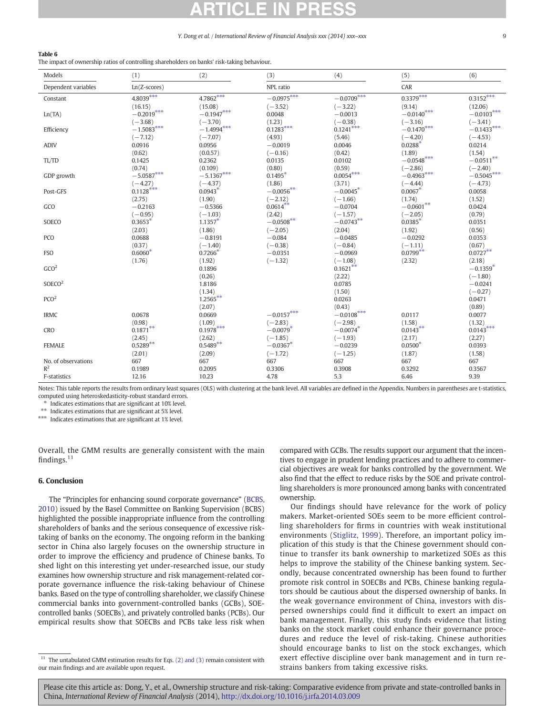# <span id="page-8-0"></span>Table 6

The impact of ownership ratios of controlling shareholders on banks' risk-taking behaviour.

| Models                | (1)                                  | (2)                                  | (3)                                 | (4)                                 | (5)                                 | (6)                                  |
|-----------------------|--------------------------------------|--------------------------------------|-------------------------------------|-------------------------------------|-------------------------------------|--------------------------------------|
| Dependent variables   | Ln(Z-scores)                         |                                      | NPL ratio                           |                                     | CAR                                 |                                      |
| Constant              | $4.8039***$                          | $4.7862***$                          | $-0.0975***$                        | $-0.0709***$                        | $0.3379***$                         | $0.3152***$                          |
| Ln(TA)                | (16.15)<br>$-0.2019***$<br>$(-3.68)$ | (15.08)<br>$-0.1947***$<br>$(-3.70)$ | $(-3.52)$<br>0.0048<br>(1.23)       | $(-3.22)$<br>$-0.0013$<br>$(-0.38)$ | (9.14)<br>$-0.0140***$<br>$(-3.16)$ | (12.06)<br>$-0.0103***$<br>$(-3.41)$ |
| Efficiency            | $-1.5083***$                         | $-1.4994***$                         | $0.1283***$                         | $0.1241***$                         | $-0.1470$ ***                       | $-0.1433^{***}$                      |
| <b>ADIV</b>           | $(-7.12)$<br>0.0916<br>(0.62)        | $(-7.07)$<br>0.0956<br>(0.0.57)      | (4.93)<br>$-0.0019$<br>$(-0.16)$    | (5.46)<br>0.0046<br>(0.42)          | $(-4.20)$<br>$0.0288*$<br>(1.89)    | $(-4.53)$<br>0.0214<br>(1.54)        |
| TL/TD                 | 0.1425<br>(0.74)                     | 0.2362<br>(0.109)                    | 0.0135<br>(0.80)                    | 0.0102<br>(0.59)                    | $-0.0548***$<br>$(-2.86)$           | $-0.0511***$<br>$(-2.40)$            |
| GDP growth            | $-5.0587***$                         | $-5.1367***$                         | $0.1495*$                           | $0.0054***$                         | $-0.4963***$                        | $-0.5045***$                         |
| Post-GFS              | $(-4.27)$<br>$0.1128***$<br>(2.75)   | $(-4.37)$<br>0.0943<br>(1.90)        | (1.86)<br>$-0.0056***$<br>$(-2.12)$ | (3.71)<br>$-0.0045*$<br>$(-1.66)$   | $(-4.44)$<br>0.0067<br>(1.74)       | $(-4.73)$<br>0.0058<br>(1.52)        |
| GCO                   | $-0.2163$<br>$(-0.95)$               | $-0.5366$<br>$(-1.03)$               | $0.0614**$<br>(2.42)                | $-0.0704$<br>$(-1.57)$              | $-0.0601^{**}$<br>$(-2.05)$         | 0.0424<br>(0.79)                     |
| SOECO                 | $0.3653*$<br>(2.03)                  | $1.1357*$<br>(1.86)                  | $-0.0508***$<br>$(-2.05)$           | $-0.0743**$<br>(2.04)               | $0.0385*$<br>(1.92)                 | 0.0351<br>(0.56)                     |
| PCO                   | 0.0688                               | $-0.8191$                            | $-0.084$                            | $-0.0485$                           | $-0.0292$                           | 0.0353                               |
| <b>FSO</b>            | (0.37)<br>$0.6060*$<br>(1.76)        | $(-1.40)$<br>0.7266<br>(1.92)        | $(-0.38)$<br>$-0.0351$<br>$(-1.32)$ | $(-0.84)$<br>$-0.0969$<br>$(-1.08)$ | $(-1.11)$<br>$0.0799**$<br>(2.32)   | (0.67)<br>$0.0727**$<br>(2.18)       |
| GCO <sup>2</sup>      |                                      | 0.1896                               |                                     | $0.1621***$                         |                                     | $-0.1359*$                           |
| SOECO <sup>2</sup>    |                                      | (0.26)<br>1.8186<br>(1.34)           |                                     | (2.22)<br>0.0785<br>(1.50)          |                                     | $(-1.80)$<br>$-0.0241$<br>$(-0.27)$  |
| PCO <sup>2</sup>      |                                      | $1.2565***$<br>(2.07)                |                                     | 0.0263<br>(0.43)                    |                                     | 0.0471<br>(0.89)                     |
| <b>IRMC</b>           | 0.0678                               | 0.0669                               | $-0.0157***$<br>$(-2.83)$           | $-0.0108***$<br>$(-2.98)$           | 0.0117<br>(1.58)                    | 0.0077                               |
| CRO                   | (0.98)<br>$0.1871**$<br>(2.45)       | (1.09)<br>$0.1978***$<br>(2.62)      | $-0.0079$ <sup>*</sup><br>$(-1.85)$ | $-0.0074$ <sup>*</sup><br>$(-1.93)$ | $0.0143***$<br>(2.17)               | (1.32)<br>$0.0143***$<br>(2.27)      |
| <b>FEMALE</b>         | $0.5289**$<br>(2.01)                 | $0.5489**$<br>(2.09)                 | $-0.0367*$<br>$(-1.72)$             | $-0.0239$<br>$(-1.25)$              | $0.0500*$<br>(1.87)                 | 0.0393<br>(1.58)                     |
| No. of observations   | 667                                  | 667                                  | 667                                 | 667                                 | 667                                 | 667                                  |
| $R^2$<br>F-statistics | 0.1989<br>12.16                      | 0.2095<br>10.23                      | 0.3306<br>4.78                      | 0.3908<br>5.3                       | 0.3292<br>6.46                      | 0.3567<br>9.39                       |

Notes: This table reports the results from ordinary least squares (OLS) with clustering at the bank level. All variables are defined in the Appendix. Numbers in parentheses are t-statistics, computed using heteroskedasticity-robust standard errors.

Indicates estimations that are significant at 10% level.

⁎⁎ Indicates estimations that are significant at 5% level.

⁎⁎⁎ Indicates estimations that are significant at 1% level.

Overall, the GMM results are generally consistent with the main findings. $11$ 

# 6. Conclusion

The "Principles for enhancing sound corporate governance" ([BCBS,](#page-9-0) [2010\)](#page-9-0) issued by the Basel Committee on Banking Supervision (BCBS) highlighted the possible inappropriate influence from the controlling shareholders of banks and the serious consequence of excessive risktaking of banks on the economy. The ongoing reform in the banking sector in China also largely focuses on the ownership structure in order to improve the efficiency and prudence of Chinese banks. To shed light on this interesting yet under-researched issue, our study examines how ownership structure and risk management-related corporate governance influence the risk-taking behaviour of Chinese banks. Based on the type of controlling shareholder, we classify Chinese commercial banks into government-controlled banks (GCBs), SOEcontrolled banks (SOECBs), and privately controlled banks (PCBs). Our empirical results show that SOECBs and PCBs take less risk when compared with GCBs. The results support our argument that the incentives to engage in prudent lending practices and to adhere to commercial objectives are weak for banks controlled by the government. We also find that the effect to reduce risks by the SOE and private controlling shareholders is more pronounced among banks with concentrated ownership.

Our findings should have relevance for the work of policy makers. Market-oriented SOEs seem to be more efficient controlling shareholders for firms in countries with weak institutional environments ([Stiglitz, 1999\)](#page-10-0). Therefore, an important policy implication of this study is that the Chinese government should continue to transfer its bank ownership to marketized SOEs as this helps to improve the stability of the Chinese banking system. Secondly, because concentrated ownership has been found to further promote risk control in SOECBs and PCBs, Chinese banking regulators should be cautious about the dispersed ownership of banks. In the weak governance environment of China, investors with dispersed ownerships could find it difficult to exert an impact on bank management. Finally, this study finds evidence that listing banks on the stock market could enhance their governance procedures and reduce the level of risk-taking. Chinese authorities should encourage banks to list on the stock exchanges, which exert effective discipline over bank management and in turn restrains bankers from taking excessive risks.

 $11$  The untabulated GMM estimation results for Eqs. [\(2\) and \(3\)](#page-5-0) remain consistent with our main findings and are available upon request.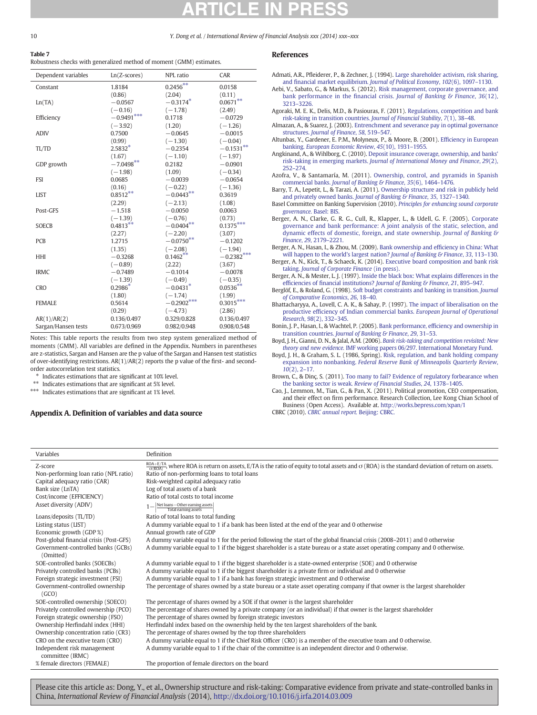# Table 7

Robustness checks with generalized method of moment (GMM) estimates.

| Dependent variables | $Ln(Z-scores)$ | NPL ratio    | CAR          |
|---------------------|----------------|--------------|--------------|
| Constant            | 1.8184         | $0.2456***$  | 0.0158       |
|                     | (0.86)         | (2.04)       | (0.11)       |
| Ln(TA)              | $-0.0567$      | $-0.3174*$   | $0.0671***$  |
|                     | $(-0.16)$      | $(-1.78)$    | (2.49)       |
| Efficiency          | $-0.9491***$   | 0.1718       | $-0.0729$    |
|                     | $(-3.92)$      | (1.20)       | $(-1.26)$    |
| <b>ADIV</b>         | 0.7500         | $-0.0645$    | $-0.0015$    |
|                     | (0.99)         | $(-1.30)$    | $(-0.04)$    |
| TL/TD               | $2.5832*$      | $-0.2354$    | $-0.1531**$  |
|                     | (1.67)         | $(-1.10)$    | $(-1.97)$    |
| GDP growth          | $-7.0498**$    | 0.2182       | $-0.0901$    |
|                     | $(-1.98)$      | (1.09)       | $(-0.34)$    |
| <b>FSI</b>          | 0.0685         | $-0.0039$    | $-0.0654$    |
|                     | (0.16)         | $(-0.22)$    | $(-1.36)$    |
| <b>LIST</b>         | $0.8512***$    | $-0.0443**$  | 0.3619       |
|                     | (2.29)         | $(-2.13)$    | (1.08)       |
| Post-GFS            | $-1.518$       | $-0.0050$    | 0.0063       |
|                     | $(-1.39)$      | $(-0.76)$    | (0.73)       |
| <b>SOECB</b>        | $0.4813***$    | $-0.0404**$  | $0.1375***$  |
|                     | (2.27)         | $(-2.20)$    | (3.07)       |
| <b>PCB</b>          | 1.2715         | $-0.0750**$  | $-0.1202$    |
|                     | (1.35)         | $(-2.08)$    | $(-1.94)$    |
| HHI                 | $-0.3268$      | $0.1462**$   | $-0.2382***$ |
|                     | $(-0.89)$      | (2.22)       | (3.67)       |
| <b>IRMC</b>         | $-0.7489$      | $-0.1014$    | $-0.0078$    |
|                     | $(-1.39)$      | $(-0.49)$    | $(-0.35)$    |
| <b>CRO</b>          | $0.2986*$      | $-0.0431$ *  | $0.0536***$  |
|                     | (1.80)         | $(-1.74)$    | (1.99)       |
| <b>FEMALE</b>       | 0.5614         | $-0.2902***$ | $0.3015***$  |
|                     | (0.29)         | $(-4.73)$    | (2.86)       |
| AR(1)/AR(2)         | 0.136/0.497    | 0.329/0.828  | 0.136/0.497  |
| Sargan/Hansen tests | 0.673/0.969    | 0.982/0.948  | 0.908/0.548  |

Notes: This table reports the results from two step system generalized method of moments (GMM). All variables are defined in the Appendix. Numbers in parentheses are z-statistics, Sargan and Hansen are the p value of the Sargan and Hansen test statistics of over-identifying restrictions. AR(1)/AR(2) reports the p value of the first- and secondorder autocorrelation test statistics.

 $*$  Indicates estimations that are significant at 10% level.

Indicates estimations that are significant at 5% level.

\*\*\* Indicates estimations that are significant at 1% level.

# Appendix A. Definition of variables and data source

# References

Admati, A.R., Pfleiderer, P., & Zechner, J. (1994). [Large shareholder activism, risk sharing,](http://refhub.elsevier.com/S1057-5219(14)00046-5/rf0005) and fi[nancial market equilibrium.](http://refhub.elsevier.com/S1057-5219(14)00046-5/rf0005) Journal of Political Economy, 102(6), 1097–1130.

Aebi, V., Sabato, G., & Markus, S. (2012). [Risk management, corporate governance, and](http://refhub.elsevier.com/S1057-5219(14)00046-5/rf0010) bank performance in the financial crisis. [Journal of Banking & Finance](http://refhub.elsevier.com/S1057-5219(14)00046-5/rf0010), 36(12), 3213–[3226.](http://refhub.elsevier.com/S1057-5219(14)00046-5/rf0010)

Agoraki, M. E. K., Delis, M.D., & Pasiouras, F. (2011). [Regulations, competition and bank](http://refhub.elsevier.com/S1057-5219(14)00046-5/rf0015) [risk-taking in transition countries.](http://refhub.elsevier.com/S1057-5219(14)00046-5/rf0015) Journal of Financial Stability, 7(1), 38–48.

Almazan, A., & Suarez, J. (2003). [Entrenchment and severance pay in optimal governance](http://refhub.elsevier.com/S1057-5219(14)00046-5/rf0020) structures. [Journal of Finance](http://refhub.elsevier.com/S1057-5219(14)00046-5/rf0020), 58, 519–547.

Altunbas, Y., Gardener, E. P.M., Molyneux, P., & Moore, B. (2001). Effi[ciency in European](http://refhub.elsevier.com/S1057-5219(14)00046-5/rf0025) banking. [European Economic Review](http://refhub.elsevier.com/S1057-5219(14)00046-5/rf0025), 45(10), 1931–1955.

Angkinand, A., & Wihlborg, C. (2010). [Deposit insurance coverage, ownership, and banks'](http://refhub.elsevier.com/S1057-5219(14)00046-5/rf0030) risk-taking in emerging markets. [Journal of International Money and Finance](http://refhub.elsevier.com/S1057-5219(14)00046-5/rf0030), 29(2), 252–[274.](http://refhub.elsevier.com/S1057-5219(14)00046-5/rf0030)

Azofra, V., & Santamaría, M. (2011). [Ownership, control, and pyramids in Spanish](http://refhub.elsevier.com/S1057-5219(14)00046-5/rf0035) commercial banks. [Journal of Banking & Finance](http://refhub.elsevier.com/S1057-5219(14)00046-5/rf0035), 35(6), 1464–1476.

Barry, T. A., Lepetit, L., & Tarazi, A. (2011). [Ownership structure and risk in publicly held](http://refhub.elsevier.com/S1057-5219(14)00046-5/rf0040) and privately owned banks. [Journal of Banking & Finance](http://refhub.elsevier.com/S1057-5219(14)00046-5/rf0040), 35, 1327–1340.

- Basel Committee on Banking Supervision (2010). [Principles for enhancing sound corporate](http://refhub.elsevier.com/S1057-5219(14)00046-5/rf0390) [governance.](http://refhub.elsevier.com/S1057-5219(14)00046-5/rf0390) Basel: BIS.
- Berger, A. N., Clarke, G. R. G., Cull, R., Klapper, L., & Udell, G. F. (2005). [Corporate](http://refhub.elsevier.com/S1057-5219(14)00046-5/rf0050) [governance and bank performance: A joint analysis of the static, selection, and](http://refhub.elsevier.com/S1057-5219(14)00046-5/rf0050) [dynamic effects of domestic, foreign, and state ownership.](http://refhub.elsevier.com/S1057-5219(14)00046-5/rf0050) Journal of Banking & [Finance](http://refhub.elsevier.com/S1057-5219(14)00046-5/rf0050), 29, 2179–2221.

Berger, A. N., Hasan, I., & Zhou, M. (2009). [Bank ownership and ef](http://refhub.elsevier.com/S1057-5219(14)00046-5/rf0055)ficiency in China: What [will happen to the world's largest nation?](http://refhub.elsevier.com/S1057-5219(14)00046-5/rf0055) Journal of Banking & Finance, 33, 113-130.

Berger, A. N., Kick, T., & Schaeck, K. (2014). [Executive board composition and bank risk](http://refhub.elsevier.com/S1057-5219(14)00046-5/rf0395) taking. [Journal of Corporate Finance](http://refhub.elsevier.com/S1057-5219(14)00046-5/rf0395) (in press).

Berger, A. N., & Mester, L. J. (1997). [Inside the black box: What explains differences in the](http://refhub.elsevier.com/S1057-5219(14)00046-5/rf0060) efficiencies of financial institutions? [Journal of Banking & Finance](http://refhub.elsevier.com/S1057-5219(14)00046-5/rf0060), 21, 895-947

Berglöf, E., & Roland, G. (1998). [Soft budget constraints and banking in transition.](http://refhub.elsevier.com/S1057-5219(14)00046-5/rf0065) Journal [of Comparative Economics](http://refhub.elsevier.com/S1057-5219(14)00046-5/rf0065), 26, 18–40.

Bhattacharyya, A., Lovell, C. A. K., & Sahay, P. (1997). [The impact of liberalisation on the](http://refhub.elsevier.com/S1057-5219(14)00046-5/rf0070) productive effi[ciency of Indian commercial banks.](http://refhub.elsevier.com/S1057-5219(14)00046-5/rf0070) European Journal of Operational [Research](http://refhub.elsevier.com/S1057-5219(14)00046-5/rf0070), 98(2), 332–345.

Bonin, J. P., Hasan, I., & Wachtel, P. (2005). Bank performance, effi[ciency and ownership in](http://refhub.elsevier.com/S1057-5219(14)00046-5/rf0075) transition countries. [Journal of Banking & Finance](http://refhub.elsevier.com/S1057-5219(14)00046-5/rf0075), 29, 31–53.

Boyd, J. H., Gianni, D. N., & Jalal, A.M. (2006). [Bank risk-taking and competition revisited: New](http://refhub.elsevier.com/S1057-5219(14)00046-5/rf0400) theory and new evidence. [IMF working papers 06/297. International Monetary Fund.](http://refhub.elsevier.com/S1057-5219(14)00046-5/rf0400)

Boyd, J. H., & Graham, S. L. (1986, Spring). [Risk, regulation, and bank holding company](http://refhub.elsevier.com/S1057-5219(14)00046-5/rf0405) expansion into nonbanking. [Federal Reserve Bank of Minneapolis Quarterly Review](http://refhub.elsevier.com/S1057-5219(14)00046-5/rf0405),  $10(2)$ , 2–17.

Brown, C., & Dinç, S. (2011). [Too many to fail? Evidence of regulatory forbearance when](http://refhub.elsevier.com/S1057-5219(14)00046-5/rf0080) [the banking sector is weak.](http://refhub.elsevier.com/S1057-5219(14)00046-5/rf0080) Review of Financial Studies, 24, 1378–1405.

Cao, J., Lemmon, M., Tian, G., & Pan, X. (2011). Political promotion, CEO compensation, and their effect on firm performance. Research Collection, Lee Kong Chian School of Business (Open Access). Available at. <http://works.bepress.com/xpan/1>

CBRC (2010). [CBRC annual report.](http://refhub.elsevier.com/S1057-5219(14)00046-5/rf0100) Beijing: CBRC.

| Variables                                       | Definition                                                                                                                                                             |
|-------------------------------------------------|------------------------------------------------------------------------------------------------------------------------------------------------------------------------|
| Z-score                                         | $\frac{ROA+ETA}{ORROA}$ , where ROA is return on assets, E/TA is the ratio of equity to total assets and $\sigma$ (ROA) is the standard deviation of return on assets. |
| Non-performing loan ratio (NPL ratio)           | Ratio of non-performing loans to total loans                                                                                                                           |
| Capital adequacy ratio (CAR)                    | Risk-weighted capital adequacy ratio                                                                                                                                   |
| Bank size (LnTA)                                | Log of total assets of a bank                                                                                                                                          |
| Cost/income (EFFICIENCY)                        | Ratio of total costs to total income                                                                                                                                   |
| Asset diversity (ADIV)                          | $1 - \frac{\text{Net loans} - \text{Other earning assets}}{\text{Total earning assets}}$                                                                               |
| Loans/deposits (TL/TD)                          | Ratio of total loans to total funding                                                                                                                                  |
| Listing status (LIST)                           | A dummy variable equal to 1 if a bank has been listed at the end of the year and 0 otherwise                                                                           |
| Economic growth (GDP %)                         | Annual growth rate of GDP                                                                                                                                              |
| Post-global financial crisis (Post-GFS)         | A dummy variable equal to 1 for the period following the start of the global financial crisis (2008–2011) and 0 otherwise                                              |
| Government-controlled banks (GCBs)              | A dummy variable equal to 1 if the biggest shareholder is a state bureau or a state asset operating company and 0 otherwise.                                           |
| (Omitted)                                       |                                                                                                                                                                        |
| SOE-controlled banks (SOECBs)                   | A dummy variable equal to 1 if the biggest shareholder is a state-owned enterprise (SOE) and 0 otherwise                                                               |
| Privately controlled banks (PCBs)               | A dummy variable equal to 1 if the biggest shareholder is a private firm or individual and 0 otherwise                                                                 |
| Foreign strategic investment (FSI)              | A dummy variable equal to 1 if a bank has foreign strategic investment and 0 otherwise                                                                                 |
| Government-controlled ownership<br>(GCO)        | The percentage of shares owned by a state bureau or a state asset operating company if that owner is the largest shareholder                                           |
| SOE-controlled ownership (SOECO)                | The percentage of shares owned by a SOE if that owner is the largest shareholder                                                                                       |
| Privately controlled ownership (PCO)            | The percentage of shares owned by a private company (or an individual) if that owner is the largest shareholder                                                        |
| Foreign strategic ownership (FSO)               | The percentage of shares owned by foreign strategic investors                                                                                                          |
| Ownership Herfindahl index (HHI)                | Herfindahl index based on the ownership held by the ten largest shareholders of the bank.                                                                              |
| Ownership concentration ratio (CR3)             | The percentage of shares owned by the top three shareholders                                                                                                           |
| CRO on the executive team (CRO)                 | A dummy variable equal to 1 if the Chief Risk Officer (CRO) is a member of the executive team and 0 otherwise.                                                         |
| Independent risk management<br>committee (IRMC) | A dummy variable equal to 1 if the chair of the committee is an independent director and 0 otherwise.                                                                  |
| % female directors (FEMALE)                     | The proportion of female directors on the board                                                                                                                        |

<span id="page-9-0"></span>